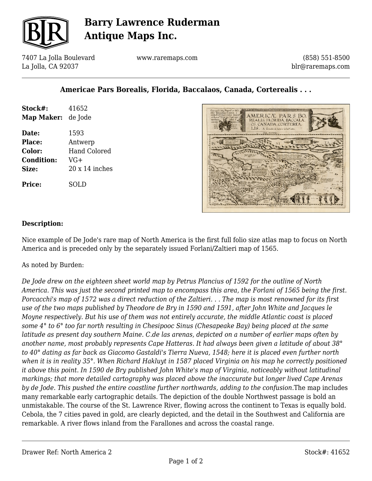

## **Barry Lawrence Ruderman Antique Maps Inc.**

7407 La Jolla Boulevard La Jolla, CA 92037

www.raremaps.com

(858) 551-8500 blr@raremaps.com

## **Americae Pars Borealis, Florida, Baccalaos, Canada, Corterealis . . .**

| Stock#:<br>Map Maker: | 41652<br>de Jode      |
|-----------------------|-----------------------|
| Date:                 | 1593                  |
| <b>Place:</b>         | Antwerp               |
| <b>Color:</b>         | <b>Hand Colored</b>   |
| <b>Condition:</b>     | $VG+$                 |
| Size:                 | $20 \times 14$ inches |
| <b>Price:</b>         | SOLD                  |



#### **Description:**

Nice example of De Jode's rare map of North America is the first full folio size atlas map to focus on North America and is preceded only by the separately issued Forlani/Zaltieri map of 1565.

As noted by Burden:

*De Jode drew on the eighteen sheet world map by Petrus Plancius of 1592 for the outline of North America. This was just the second printed map to encompass this area, the Forlani of 1565 being the first. Porcacchi's map of 1572 was a direct reduction of the Zaltieri. . . The map is most renowned for its first use of the two maps published by Theodore de Bry in 1590 and 1591, after John White and Jacques le Moyne respectively. But his use of them was not entirely accurate, the middle Atlantic coast is placed some 4° to 6° too far north resulting in Chesipooc Sinus (Chesapeake Bay) being placed at the same latitude as present day southern Maine. C.de las arenas, depicted on a number of earlier maps often by another name, most probably represents Cape Hatteras. It had always been given a latitude of about 38° to 40° dating as far back as Giacomo Gastaldi's Tierra Nueva, 1548; here it is placed even further north when it is in reality 35°. When Richard Hakluyt in 1587 placed Virginia on his map he correctly positioned it above this point. In 1590 de Bry published John White's map of Virginia, noticeably without latitudinal markings; that more detailed cartography was placed above the inaccurate but longer lived Cape Arenas by de Jode. This pushed the entire coastline further northwards, adding to the confusion.*The map includes many remarkable early cartographic details. The depiction of the double Northwest passage is bold an unmistakable. The course of the St. Lawrence River, flowing across the continent to Texas is equally bold. Cebola, the 7 cities paved in gold, are clearly depicted, and the detail in the Southwest and California are remarkable. A river flows inland from the Farallones and across the coastal range.